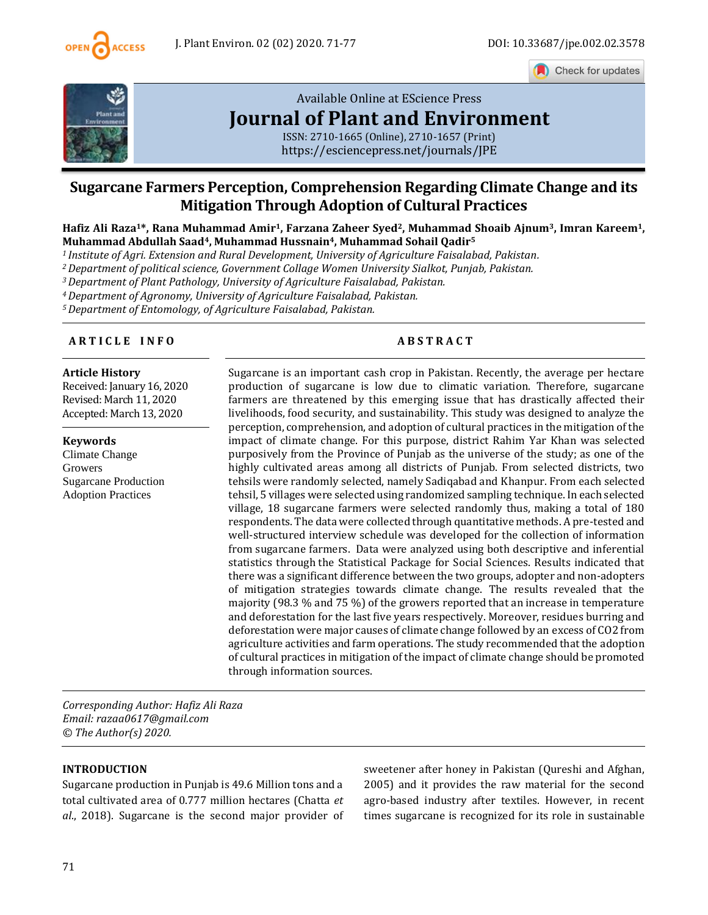

Check for updates



# [Available Online at EScience Press](https://esciencepress.net/journals/JPE) **[Journal of Plant and Environment](https://esciencepress.net/journals/JPE)**

ISSN: 2710-1665 (Online), 2710-1657 (Print) <https://esciencepress.net/journals/JPE>

## **Sugarcane Farmers Perception, Comprehension Regarding Climate Change and its Mitigation Through Adoption of Cultural Practices**

**Hafiz Ali Raza1\*, Rana Muhammad Amir1, Farzana Zaheer Syed2, Muhammad Shoaib Ajnum3, Imran Kareem1, Muhammad Abdullah Saad4, Muhammad Hussnain4, Muhammad Sohail Qadir<sup>5</sup>**

*<sup>1</sup>Institute of Agri. Extension and Rural Development, University of Agriculture Faisalabad, Pakistan.*

*<sup>2</sup>Department of political science, Government Collage Women University Sialkot, Punjab, Pakistan.*

*<sup>3</sup>Department of Plant Pathology, University of Agriculture Faisalabad, Pakistan.*

*<sup>4</sup>Department of Agronomy, University of Agriculture Faisalabad, Pakistan.*

*<sup>5</sup>Department of Entomology, of Agriculture Faisalabad, Pakistan.*

#### **A R T I C L E I N F O A B S T R A C T**

#### **Article History** Received: January 16, 2020 Revised: March 11, 2020

Accepted: March 13, 2020 **Keywords**

Climate Change Growers Sugarcane Production Adoption Practices

Sugarcane is an important cash crop in Pakistan. Recently, the average per hectare production of sugarcane is low due to climatic variation. Therefore, sugarcane farmers are threatened by this emerging issue that has drastically affected their livelihoods, food security, and sustainability. This study was designed to analyze the perception, comprehension, and adoption of cultural practices in the mitigation of the impact of climate change. For this purpose, district Rahim Yar Khan was selected purposively from the Province of Punjab as the universe of the study; as one of the highly cultivated areas among all districts of Punjab. From selected districts, two tehsils were randomly selected, namely Sadiqabad and Khanpur. From each selected tehsil, 5 villages were selected using randomized sampling technique. In each selected village, 18 sugarcane farmers were selected randomly thus, making a total of 180 respondents. The data were collected through quantitative methods. A pre-tested and well-structured interview schedule was developed for the collection of information from sugarcane farmers. Data were analyzed using both descriptive and inferential statistics through the Statistical Package for Social Sciences. Results indicated that there was a significant difference between the two groups, adopter and non-adopters of mitigation strategies towards climate change. The results revealed that the majority (98.3 % and 75 %) of the growers reported that an increase in temperature and deforestation for the last five years respectively. Moreover, residues burring and deforestation were major causes of climate change followed by an excess of CO2 from agriculture activities and farm operations. The study recommended that the adoption of cultural practices in mitigation of the impact of climate change should be promoted through information sources.

*Corresponding Author: Hafiz Ali Raza Email: razaa0617@gmail.com © The Author(s) 2020.*

### **INTRODUCTION**

Sugarcane production in Punjab is 49.6 Million tons and a total cultivated area of 0.777 million hectares (Chatta *et al*., 2018). Sugarcane is the second major provider of sweetener after honey in Pakistan (Qureshi and Afghan, 2005) and it provides the raw material for the second agro-based industry after textiles. However, in recent times sugarcane is recognized for its role in sustainable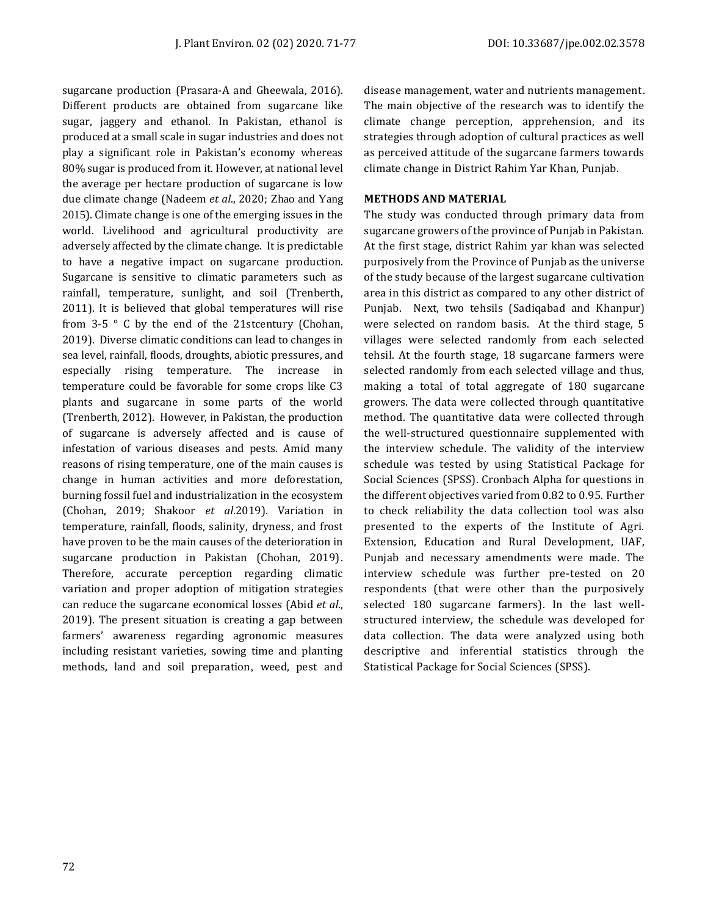sugarcane production (Prasara-A and Gheewala, 2016). Different products are obtained from sugarcane like sugar, jaggery and ethanol. In Pakistan, ethanol is produced at a small scale in sugar industries and does not play a significant role in Pakistan's economy whereas 80% sugar is produced from it. However, at national level the average per hectare production of sugarcane is low due climate change (Nadeem *et al*., 2020; Zhao and Yang 2015). Climate change is one of the emerging issues in the world. Livelihood and agricultural productivity are adversely affected by the climate change. It is predictable to have a negative impact on sugarcane production. Sugarcane is sensitive to climatic parameters such as rainfall, temperature, sunlight, and soil (Trenberth, 2011). It is believed that global temperatures will rise from  $3-5$   $\degree$  C by the end of the 21stcentury (Chohan, 2019). Diverse climatic conditions can lead to changes in sea level, rainfall, floods, droughts, abiotic pressures, and especially rising temperature. The increase in temperature could be favorable for some crops like C3 plants and sugarcane in some parts of the world (Trenberth, 2012). However, in Pakistan, the production of sugarcane is adversely affected and is cause of infestation of various diseases and pests. Amid many reasons of rising temperature, one of the main causes is change in human activities and more deforestation, burning fossil fuel and industrialization in the ecosystem [\(Chohan, 2019;](#page-5-0) Shakoor *et al*.2019). Variation in temperature, rainfall, floods, salinity, dryness, and frost have proven to be the main causes of the deterioration in sugarcane production in Pakistan (Chohan, 2019). Therefore, accurate perception regarding climatic variation and proper adoption of mitigation strategies can reduce the sugarcane economical losses (Abid *et al*., 2019). The present situation is creating a gap between farmers' awareness regarding agronomic measures including resistant varieties, sowing time and planting methods, land and soil preparation, weed, pest and

disease management, water and nutrients management. The main objective of the research was to identify the climate change perception, apprehension, and its strategies through adoption of cultural practices as well as perceived attitude of the sugarcane farmers towards climate change in District Rahim Yar Khan, Punjab.

#### **METHODS AND MATERIAL**

The study was conducted through primary data from sugarcane growers of the province of Punjab in Pakistan. At the first stage, district Rahim yar khan was selected purposively from the Province of Punjab as the universe of the study because of the largest sugarcane cultivation area in this district as compared to any other district of Punjab. Next, two tehsils (Sadiqabad and Khanpur) were selected on random basis. At the third stage, 5 villages were selected randomly from each selected tehsil. At the fourth stage, 18 sugarcane farmers were selected randomly from each selected village and thus, making a total of total aggregate of 180 sugarcane growers. The data were collected through quantitative method. The quantitative data were collected through the well-structured questionnaire supplemented with the interview schedule. The validity of the interview schedule was tested by using Statistical Package for Social Sciences (SPSS). Cronbach Alpha for questions in the different objectives varied from 0.82 to 0.95. Further to check reliability the data collection tool was also presented to the experts of the Institute of Agri. Extension, Education and Rural Development, UAF, Punjab and necessary amendments were made. The interview schedule was further pre-tested on 20 respondents (that were other than the purposively selected 180 sugarcane farmers). In the last wellstructured interview, the schedule was developed for data collection. The data were analyzed using both descriptive and inferential statistics through the Statistical Package for Social Sciences (SPSS).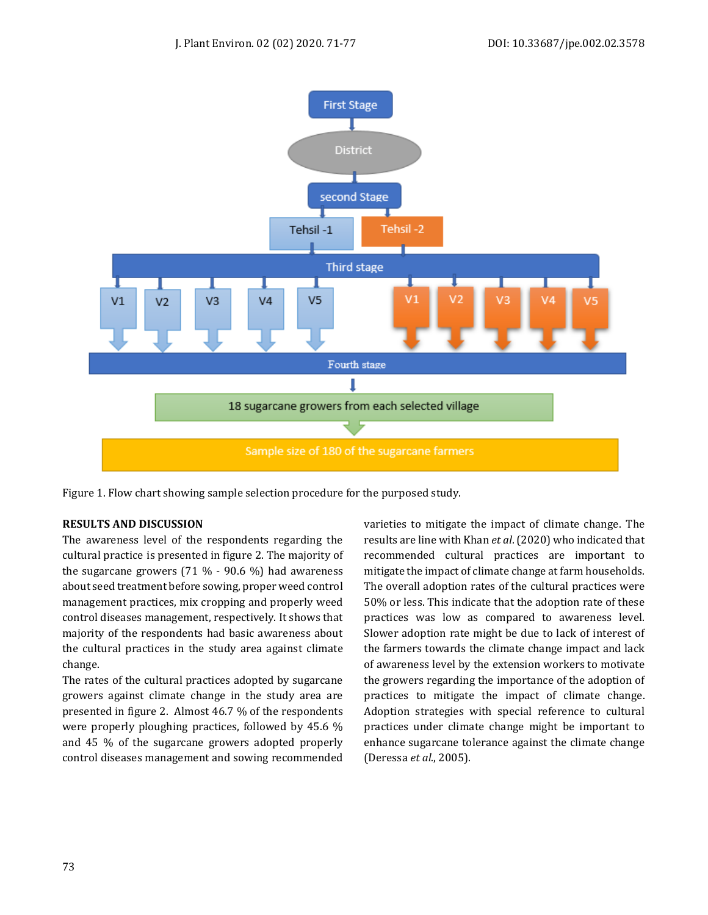

Figure 1. Flow chart showing sample selection procedure for the purposed study.

#### **RESULTS AND DISCUSSION**

The awareness level of the respondents regarding the cultural practice is presented in figure 2. The majority of the sugarcane growers  $(71 \, \% \cdot 90.6 \, \%)$  had awareness about seed treatment before sowing, proper weed control management practices, mix cropping and properly weed control diseases management, respectively. It shows that majority of the respondents had basic awareness about the cultural practices in the study area against climate change.

The rates of the cultural practices adopted by sugarcane growers against climate change in the study area are presented in figure 2. Almost 46.7 % of the respondents were properly ploughing practices, followed by 45.6 % and 45 % of the sugarcane growers adopted properly control diseases management and sowing recommended varieties to mitigate the impact of climate change. The results are line with Khan *et al*. (2020) who indicated that recommended cultural practices are important to mitigate the impact of climate change at farm households. The overall adoption rates of the cultural practices were 50% or less. This indicate that the adoption rate of these practices was low as compared to awareness level. Slower adoption rate might be due to lack of interest of the farmers towards the climate change impact and lack of awareness level by the extension workers to motivate the growers regarding the importance of the adoption of practices to mitigate the impact of climate change. Adoption strategies with special reference to cultural practices under climate change might be important to enhance sugarcane tolerance against the climate change (Deressa *et al*., 2005).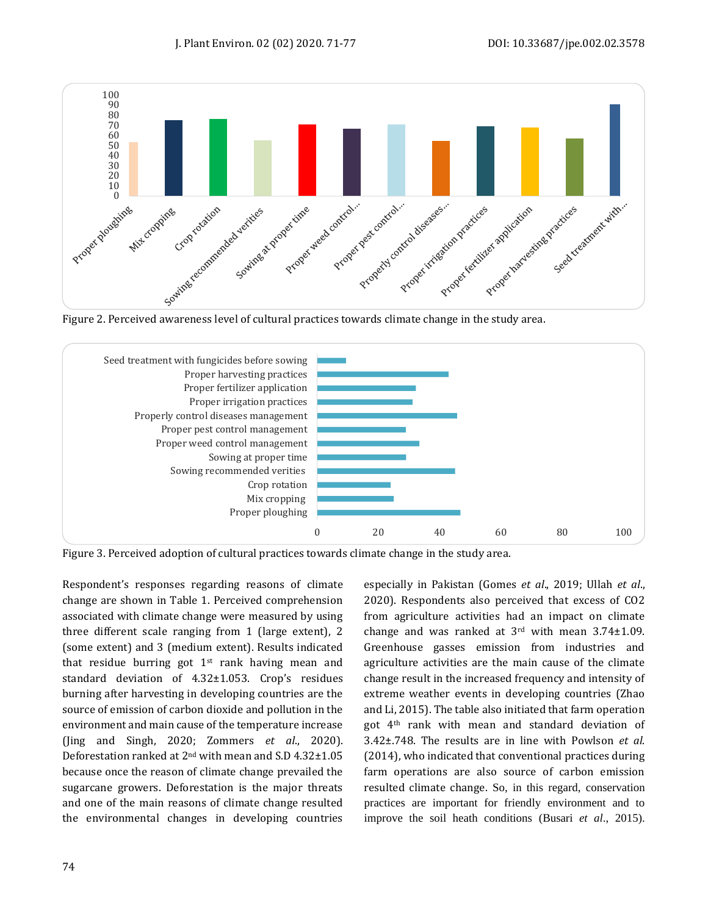



Figure 3. Perceived adoption of cultural practices towards climate change in the study area.

Respondent's responses regarding reasons of climate change are shown in Table 1. Perceived comprehension associated with climate change were measured by using three different scale ranging from 1 (large extent), 2 (some extent) and 3 (medium extent). Results indicated that residue burring got 1st rank having mean and standard deviation of 4.32±1.053. Crop's residues burning after harvesting in developing countries are the source of emission of carbon dioxide and pollution in the environment and main cause of the temperature increase (Jing and Singh, 2020; Zommers *et al*., 2020). Deforestation ranked at 2nd with mean and S.D 4.32±1.05 because once the reason of climate change prevailed the sugarcane growers. Deforestation is the major threats and one of the main reasons of climate change resulted the environmental changes in developing countries

especially in Pakistan (Gomes *et al*., 2019; Ullah *et al*., 2020). Respondents also perceived that excess of CO2 from agriculture activities had an impact on climate change and was ranked at 3rd with mean 3.74±1.09. Greenhouse gasses emission from industries and agriculture activities are the main cause of the climate change result in the increased frequency and intensity of extreme weather events in developing countries (Zhao and Li, 2015). The table also initiated that farm operation got 4th rank with mean and standard deviation of 3.42±.748. The results are in line with Powlson *et al*. (2014), who indicated that conventional practices during farm operations are also source of carbon emission resulted climate change. So, in this regard, conservation practices are important for friendly environment and to improve the soil heath conditions (Busari *et al*., 2015).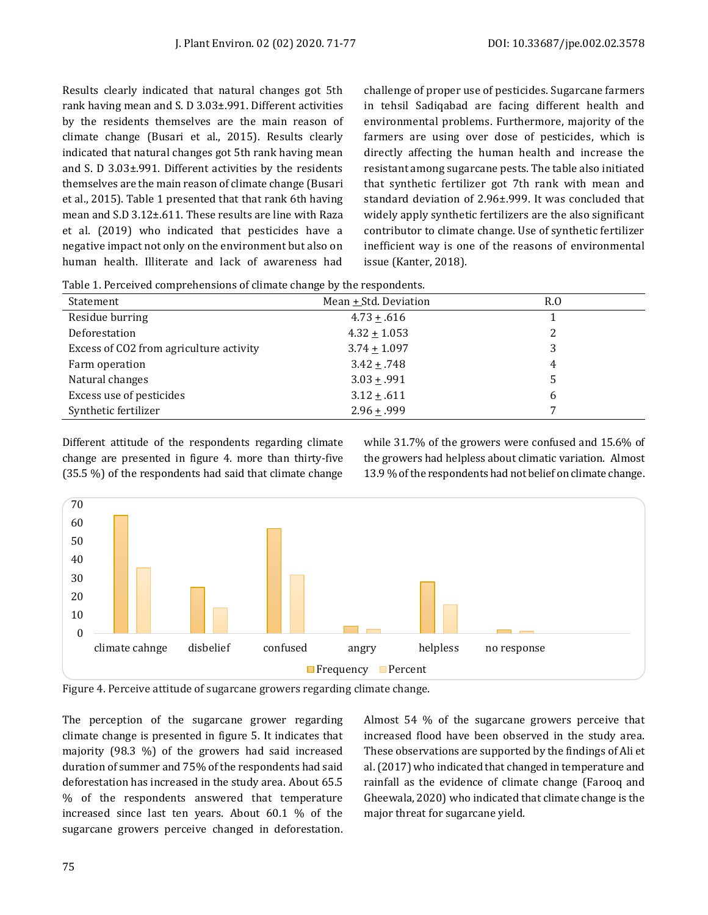Results clearly indicated that natural changes got 5th rank having mean and S. D 3.03±.991. Different activities by the residents themselves are the main reason of climate change (Busari et al., 2015). Results clearly indicated that natural changes got 5th rank having mean and S. D 3.03±.991. Different activities by the residents themselves are the main reason of climate change (Busari et al., 2015). Table 1 presented that that rank 6th having mean and S.D 3.12±.611. These results are line with Raza et al. (2019) who indicated that pesticides have a negative impact not only on the environment but also on human health. Illiterate and lack of awareness had challenge of proper use of pesticides. Sugarcane farmers in tehsil Sadiqabad are facing different health and environmental problems. Furthermore, majority of the farmers are using over dose of pesticides, which is directly affecting the human health and increase the resistant among sugarcane pests. The table also initiated that synthetic fertilizer got 7th rank with mean and standard deviation of 2.96±.999. It was concluded that widely apply synthetic fertilizers are the also significant contributor to climate change. Use of synthetic fertilizer inefficient way is one of the reasons of environmental issue (Kanter, 2018).

|  | Table 1. Perceived comprehensions of climate change by the respondents. |  |  |
|--|-------------------------------------------------------------------------|--|--|
|  |                                                                         |  |  |

| Statement                               | Mean $+$ Std. Deviation | $R_{0}$ |
|-----------------------------------------|-------------------------|---------|
| Residue burring                         | $4.73 + .616$           |         |
| Deforestation                           | $4.32 \pm 1.053$        |         |
| Excess of CO2 from agriculture activity | $3.74 \pm 1.097$        |         |
| Farm operation                          | $3.42 \pm .748$         | 4       |
| Natural changes                         | $3.03 + .991$           |         |
| Excess use of pesticides                | $3.12 \pm .611$         | b       |
| Synthetic fertilizer                    | $2.96 + .999$           |         |

Different attitude of the respondents regarding climate change are presented in figure 4. more than thirty-five (35.5 %) of the respondents had said that climate change while 31.7% of the growers were confused and 15.6% of the growers had helpless about climatic variation. Almost 13.9 % of the respondents had not belief on climate change.



Figure 4. Perceive attitude of sugarcane growers regarding climate change.

The perception of the sugarcane grower regarding climate change is presented in figure 5. It indicates that majority (98.3 %) of the growers had said increased duration of summer and 75% of the respondents had said deforestation has increased in the study area. About 65.5 % of the respondents answered that temperature increased since last ten years. About 60.1 % of the sugarcane growers perceive changed in deforestation. Almost 54 % of the sugarcane growers perceive that increased flood have been observed in the study area. These observations are supported by the findings of Ali et al. (2017) who indicated that changed in temperature and rainfall as the evidence of climate change (Farooq and Gheewala, 2020) who indicated that climate change is the major threat for sugarcane yield.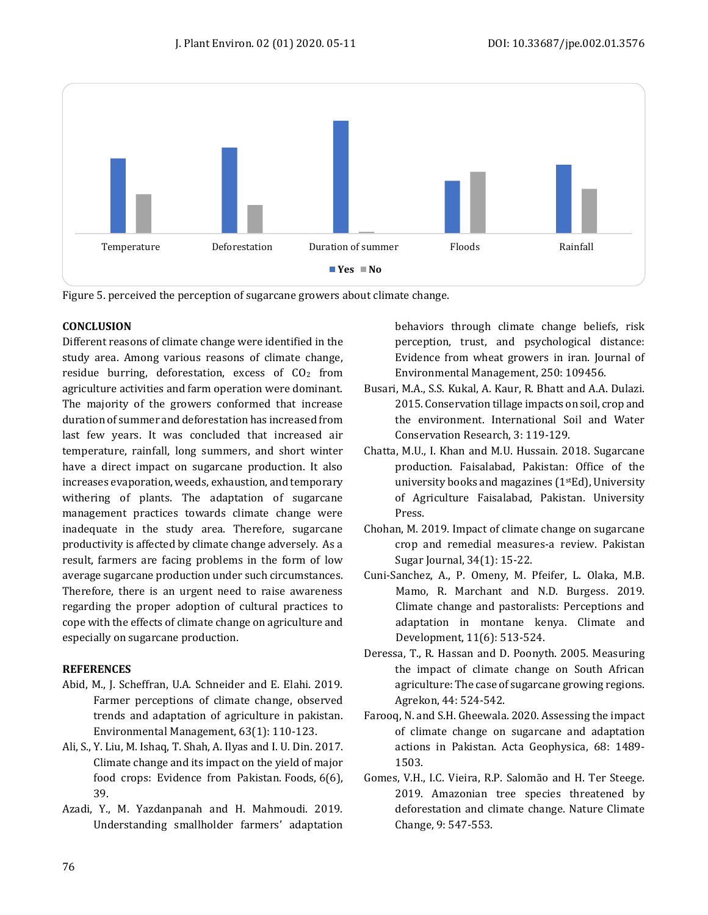

Figure 5. perceived the perception of sugarcane growers about climate change.

#### **CONCLUSION**

Different reasons of climate change were identified in the study area. Among various reasons of climate change, residue burring, deforestation, excess of  $CO<sub>2</sub>$  from agriculture activities and farm operation were dominant. The majority of the growers conformed that increase duration of summer and deforestation has increased from last few years. It was concluded that increased air temperature, rainfall, long summers, and short winter have a direct impact on sugarcane production. It also increases evaporation, weeds, exhaustion, and temporary withering of plants. The adaptation of sugarcane management practices towards climate change were inadequate in the study area. Therefore, sugarcane productivity is affected by climate change adversely. As a result, farmers are facing problems in the form of low average sugarcane production under such circumstances. Therefore, there is an urgent need to raise awareness regarding the proper adoption of cultural practices to cope with the effects of climate change on agriculture and especially on sugarcane production.

#### **REFERENCES**

- Abid, M., J. Scheffran, U.A. Schneider and E. Elahi. 2019. Farmer perceptions of climate change, observed trends and adaptation of agriculture in pakistan. Environmental Management, 63(1): 110-123.
- Ali, S., Y. Liu, M. Ishaq, T. Shah, A. Ilyas and I. U. Din. 2017. Climate change and its impact on the yield of major food crops: Evidence from Pakistan. Foods, 6(6), 39.
- Azadi, Y., M. Yazdanpanah and H. Mahmoudi. 2019. Understanding smallholder farmers' adaptation

behaviors through climate change beliefs, risk perception, trust, and psychological distance: Evidence from wheat growers in iran. Journal of Environmental Management, 250: 109456.

- Busari, M.A., S.S. Kukal, A. Kaur, R. Bhatt and A.A. Dulazi. 2015. Conservation tillage impacts on soil, crop and the environment. International Soil and Water Conservation Research, 3: 119-129.
- Chatta, M.U., I. Khan and M.U. Hussain. 2018. Sugarcane production. Faisalabad, Pakistan: Office of the university books and magazines  $(1<sup>st</sup>Ed)$ , University of Agriculture Faisalabad, Pakistan. University Press.
- Chohan, M. 2019. Impact of climate change on sugarcane crop and remedial measures-a review. Pakistan Sugar Journal, 34(1): 15-22.
- Cuni-Sanchez, A., P. Omeny, M. Pfeifer, L. Olaka, M.B. Mamo, R. Marchant and N.D. Burgess. 2019. Climate change and pastoralists: Perceptions and adaptation in montane kenya. Climate and Development, 11(6): 513-524.
- Deressa, T., R. Hassan and D. Poonyth. 2005. Measuring the impact of climate change on South African agriculture: The case of sugarcane growing regions. Agrekon, 44: 524-542.
- <span id="page-5-0"></span>Farooq, N. and S.H. Gheewala. 2020. Assessing the impact of climate change on sugarcane and adaptation actions in Pakistan. Acta Geophysica, 68: 1489- 1503.
- Gomes, V.H., I.C. Vieira, R.P. Salomão and H. Ter Steege. 2019. Amazonian tree species threatened by deforestation and climate change. Nature Climate Change, 9: 547-553.